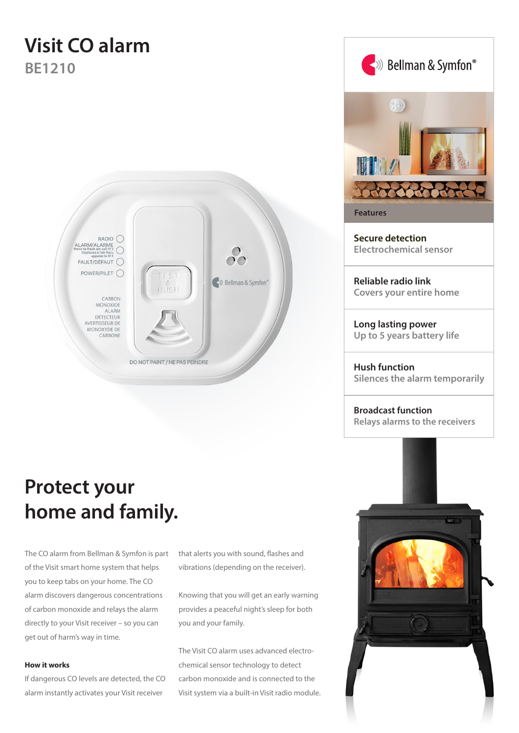# **Visit CO alarm BE1210**



# **Protect your home and family.**

The CO alarm from Bellman & Symfon is part of the Visit smart home system that helps you to keep tabs on your home. The CO alarm discovers dangerous concentrations of carbon monoxide and relays the alarm directly to your Visit receiver – so you can get out of harm's way in time.

### **How it works**

If dangerous CO levels are detected, the CO alarm instantly activates your Visit receiver

that alerts you with sound, flashes and vibrations (depending on the receiver).

Knowing that you will get an early warning provides a peaceful night's sleep for both you and your family.

The Visit CO alarm uses advanced electrochemical sensor technology to detect carbon monoxide and is connected to the Visit system via a built-in Visit radio module.



**Reliable radio link Covers your entire home**

**Long lasting power Up to 5 years battery life**

**Hush function Silences the alarm temporarily**

**Broadcast function Relays alarms to the receivers**